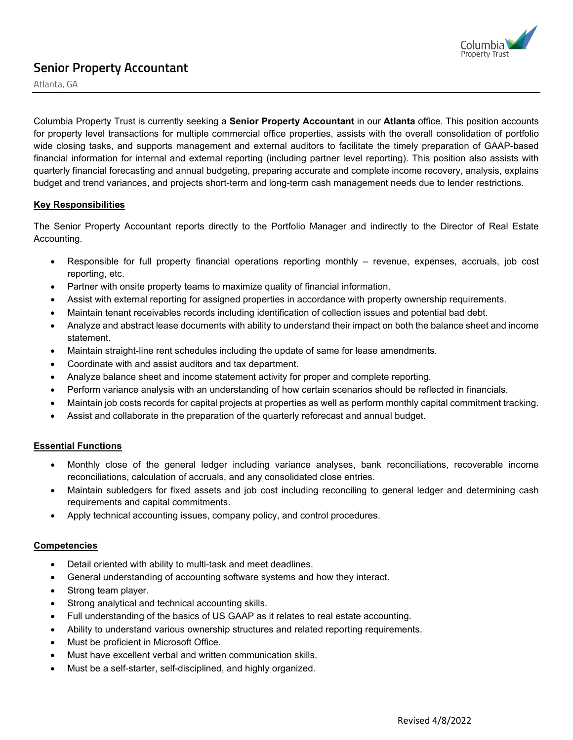

# **Senior Property Accountant**

Atlanta, GA

Columbia Property Trust is currently seeking a **Senior Property Accountant** in our **Atlanta** office. This position accounts for property level transactions for multiple commercial office properties, assists with the overall consolidation of portfolio wide closing tasks, and supports management and external auditors to facilitate the timely preparation of GAAP-based financial information for internal and external reporting (including partner level reporting). This position also assists with quarterly financial forecasting and annual budgeting, preparing accurate and complete income recovery, analysis, explains budget and trend variances, and projects short-term and long-term cash management needs due to lender restrictions.

# **Key Responsibilities**

The Senior Property Accountant reports directly to the Portfolio Manager and indirectly to the Director of Real Estate Accounting.

- Responsible for full property financial operations reporting monthly revenue, expenses, accruals, job cost reporting, etc.
- Partner with onsite property teams to maximize quality of financial information.
- Assist with external reporting for assigned properties in accordance with property ownership requirements.
- Maintain tenant receivables records including identification of collection issues and potential bad debt.
- Analyze and abstract lease documents with ability to understand their impact on both the balance sheet and income statement.
- Maintain straight-line rent schedules including the update of same for lease amendments.
- Coordinate with and assist auditors and tax department.
- Analyze balance sheet and income statement activity for proper and complete reporting.
- Perform variance analysis with an understanding of how certain scenarios should be reflected in financials.
- Maintain job costs records for capital projects at properties as well as perform monthly capital commitment tracking.
- Assist and collaborate in the preparation of the quarterly reforecast and annual budget.

# **Essential Functions**

- Monthly close of the general ledger including variance analyses, bank reconciliations, recoverable income reconciliations, calculation of accruals, and any consolidated close entries.
- Maintain subledgers for fixed assets and job cost including reconciling to general ledger and determining cash requirements and capital commitments.
- Apply technical accounting issues, company policy, and control procedures.

# **Competencies**

- Detail oriented with ability to multi-task and meet deadlines.
- General understanding of accounting software systems and how they interact.
- Strong team player.
- Strong analytical and technical accounting skills.
- Full understanding of the basics of US GAAP as it relates to real estate accounting.
- Ability to understand various ownership structures and related reporting requirements.
- Must be proficient in Microsoft Office.
- Must have excellent verbal and written communication skills.
- Must be a self-starter, self-disciplined, and highly organized.